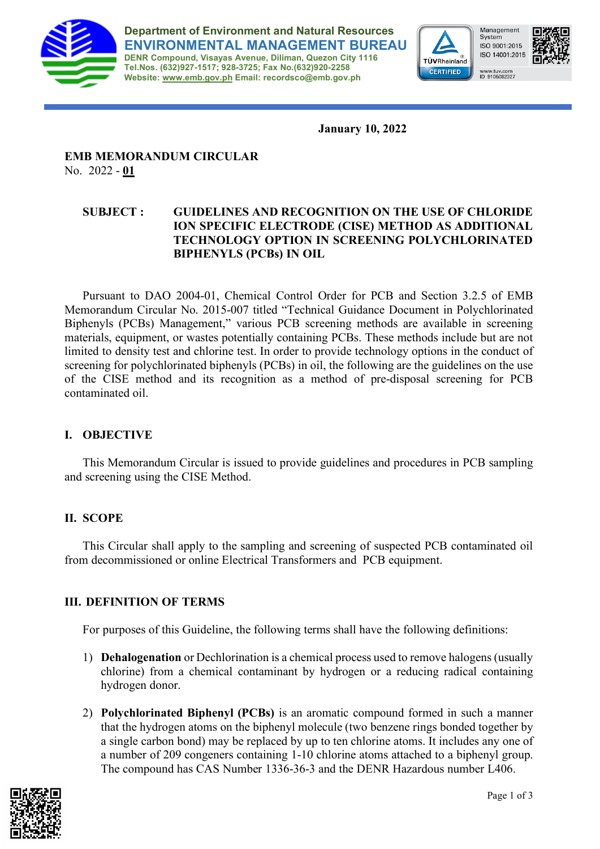

**Department of Environment and Natural Resources ENVIRONMENTAL MANAGEMENT BUREAU DENR Compound, Visayas Avenue, Diliman, Quezon City 1116 Tel.Nos. (632)927-1517; 928-3725; Fax No.(632)920-2258 Website: [www.emb.gov.ph](http://www.emb.gov.ph/) Email: recordsco@emb.gov.ph**



Management System ISO 9001:2015 ISO 14001:2015 www.tuv.com<br>ID 9105082327



**January 10, 2022**

## **EMB MEMORANDUM CIRCULAR**  No. 2022 - **01**

## **SUBJECT : GUIDELINES AND RECOGNITION ON THE USE OF CHLORIDE ION SPECIFIC ELECTRODE (CISE) METHOD AS ADDITIONAL TECHNOLOGY OPTION IN SCREENING POLYCHLORINATED BIPHENYLS (PCBs) IN OIL**

Pursuant to DAO 2004-01, Chemical Control Order for PCB and Section 3.2.5 of EMB Memorandum Circular No. 2015-007 titled "Technical Guidance Document in Polychlorinated Biphenyls (PCBs) Management," various PCB screening methods are available in screening materials, equipment, or wastes potentially containing PCBs. These methods include but are not limited to density test and chlorine test. In order to provide technology options in the conduct of screening for polychlorinated biphenyls (PCBs) in oil, the following are the guidelines on the use of the CISE method and its recognition as a method of pre-disposal screening for PCB contaminated oil.

## **I. OBJECTIVE**

This Memorandum Circular is issued to provide guidelines and procedures in PCB sampling and screening using the CISE Method.

# **II. SCOPE**

This Circular shall apply to the sampling and screening of suspected PCB contaminated oil from decommissioned or online Electrical Transformers and PCB equipment.

# **III. DEFINITION OF TERMS**

For purposes of this Guideline, the following terms shall have the following definitions:

- 1) **Dehalogenation** or Dechlorination is a chemical process used to remove halogens (usually chlorine) from a chemical contaminant by hydrogen or a reducing radical containing hydrogen donor.
- 2) **Polychlorinated Biphenyl (PCBs)** is an aromatic compound formed in such a manner that the hydrogen atoms on the biphenyl molecule (two benzene rings bonded together by a single carbon bond) may be replaced by up to ten chlorine atoms. It includes any one of a number of 209 congeners containing 1-10 chlorine atoms attached to a biphenyl group. The compound has CAS Number 1336-36-3 and the DENR Hazardous number L406.

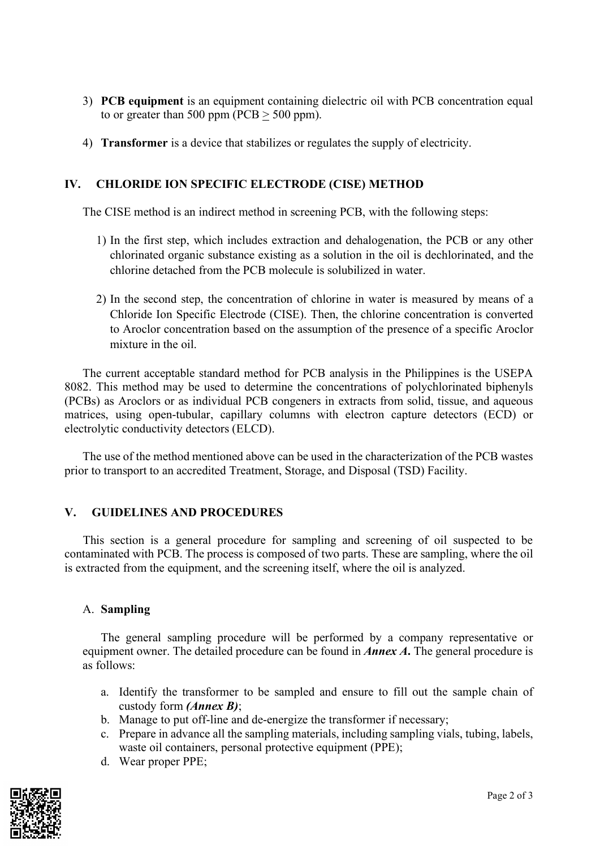- 3) **PCB equipment** is an equipment containing dielectric oil with PCB concentration equal to or greater than 500 ppm ( $PCB > 500$  ppm).
- 4) **Transformer** is a device that stabilizes or regulates the supply of electricity.

### **IV. CHLORIDE ION SPECIFIC ELECTRODE (CISE) METHOD**

The CISE method is an indirect method in screening PCB, with the following steps:

- 1) In the first step, which includes extraction and dehalogenation, the PCB or any other chlorinated organic substance existing as a solution in the oil is dechlorinated, and the chlorine detached from the PCB molecule is solubilized in water.
- 2) In the second step, the concentration of chlorine in water is measured by means of a Chloride Ion Specific Electrode (CISE). Then, the chlorine concentration is converted to Aroclor concentration based on the assumption of the presence of a specific Aroclor mixture in the oil.

The current acceptable standard method for PCB analysis in the Philippines is the USEPA 8082. This method may be used to determine the concentrations of polychlorinated biphenyls (PCBs) as Aroclors or as individual PCB congeners in extracts from solid, tissue, and aqueous matrices, using open-tubular, capillary columns with electron capture detectors (ECD) or electrolytic conductivity detectors (ELCD).

The use of the method mentioned above can be used in the characterization of the PCB wastes prior to transport to an accredited Treatment, Storage, and Disposal (TSD) Facility.

#### **V. GUIDELINES AND PROCEDURES**

 This section is a general procedure for sampling and screening of oil suspected to be contaminated with PCB. The process is composed of two parts. These are sampling, where the oil is extracted from the equipment, and the screening itself, where the oil is analyzed.

#### A. **Sampling**

The general sampling procedure will be performed by a company representative or equipment owner. The detailed procedure can be found in *Annex A***.** The general procedure is as follows:

- a. Identify the transformer to be sampled and ensure to fill out the sample chain of custody form *(Annex B)*;
- b. Manage to put off-line and de-energize the transformer if necessary;
- c. Prepare in advance all the sampling materials, including sampling vials, tubing, labels, waste oil containers, personal protective equipment (PPE);
- d. Wear proper PPE;